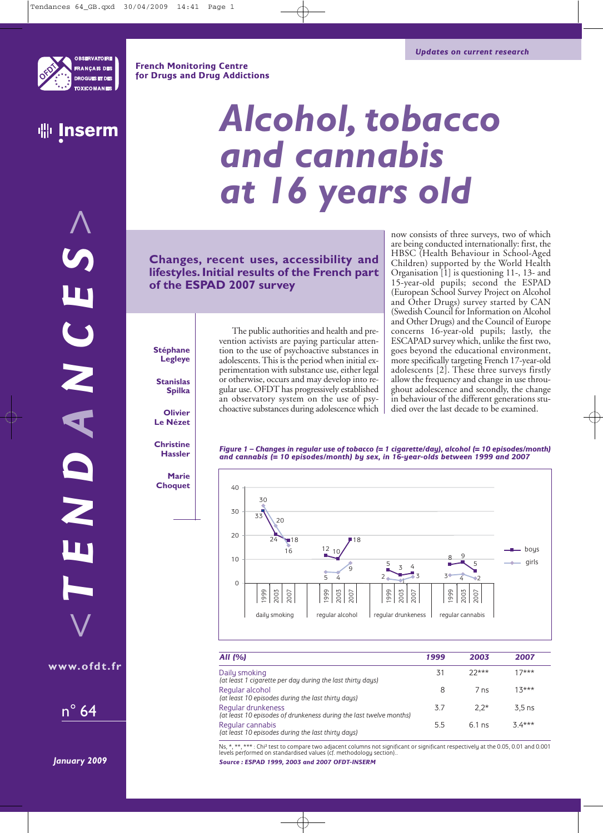**French Monitoring Centre for Drugs and Drug Addictions**



*>*

# *Alcohol, tobacco and cannabis at 16 years old*

**Changes, recent uses, accessibility and lifestyles. Initial results of the French part of the ESPAD 2007 survey**

now consists of three surveys, two of which are being conducted internationally: first, the HBSC (Health Behaviour in School-Aged Children) supported by the World Health Organisation [1] is questioning 11-, 13- and 15-year-old pupils; second the ESPAD (European School Survey Project on Alcohol and Other Drugs) survey started by CAN (Swedish Council for Information on Alcohol and Other Drugs) and the Council of Europe concerns 16-year-old pupils; lastly, the ESCAPAD survey which, unlike the first two, goes beyond the educational environment, more specifically targeting French 17-year-old adolescents [2]. These three surveys firstly allow the frequency and change in use throughout adolescence and secondly, the change in behaviour of the different generations studied over the last decade to be examined.

*Figure 1 – Changes in regular use of tobacco (= 1 cigarette/day), alcohol (= 10 episodes/month) and cannabis (= 10 episodes/month) by sex, in 16-year-olds between 1999 and 2007* 



| All (%)                                                                                  | 1999 | 2003     | 2007     |
|------------------------------------------------------------------------------------------|------|----------|----------|
| Daily smoking<br>(at least 1 cigarette per day during the last thirty days)              | 31   | $22***$  | 17***    |
| Regular alcohol<br>(at least 10 episodes during the last thirty days)                    | 8    | 7ns      | $13***$  |
| Regular drunkeness<br>(at least 10 episodes of drunkeness during the last twelve months) | 3.7  | $2.2*$   | $3.5$ ns |
| Regular cannabis<br>(at least 10 episodes during the last thirty days)                   | 5.5  | $6.1$ ns | $34***$  |

Ns, \*, \*\*, \*\*\* : Chi<sup>2</sup> test to compare two adjacent columns not significant or significant respectively at the 0.05, 0.01 and 0.001<br>Ievels performed on standardised values (cf. methodology section).. *Source : ESPAD 1999, 2003 and 2007 OFDT-INSERM*

*January 2009*

n° 64

*<*

**www.ofdt.fr**

*TEND*

*A*

*NCES*

**Stéphane Legleye**

**Stanislas Spilka**

**Olivier Le Nézet**

**Christine Hassler**

**Marie Choquet** vention activists are paying particular attention to the use of psychoactive substances in adolescents. This is the period when initial experimentation with substance use, either legal or otherwise, occurs and may develop into regular use. OFDT has progressively established an observatory system on the use of psychoactive substances during adolescence which

The public authorities and health and pre-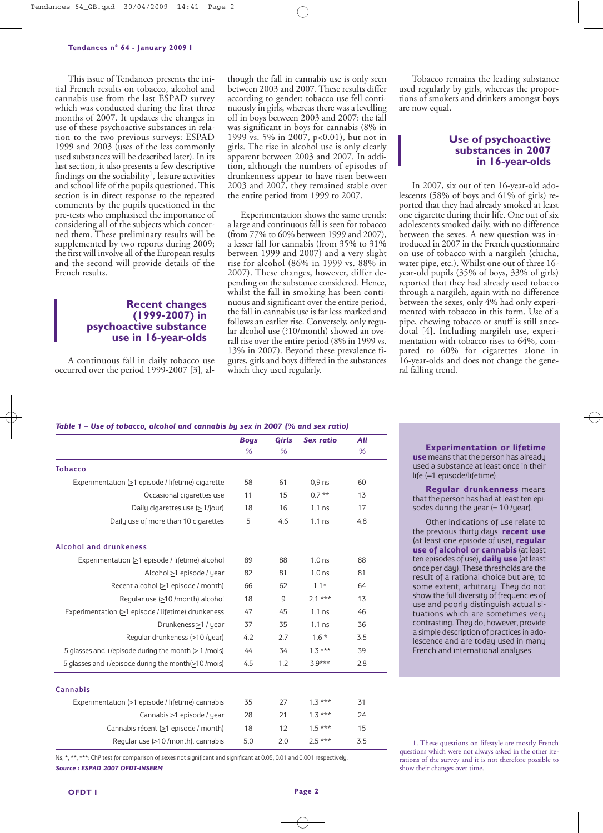This issue of Tendances presents the initial French results on tobacco, alcohol and cannabis use from the last ESPAD survey which was conducted during the first three months of 2007. It updates the changes in use of these psychoactive substances in relation to the two previous surveys: ESPAD 1999 and 2003 (uses of the less commonly used substances will be described later). In its last section, it also presents a few descriptive findings on the sociability<sup>1</sup>, leisure activities and school life of the pupils questioned. This section is in direct response to the repeated comments by the pupils questioned in the pre-tests who emphasised the importance of considering all of the subjects which concerned them. These preliminary results will be supplemented by two reports during 2009; the first will involve all of the European results and the second will provide details of the French results.

### **Recent changes (1999-2007) in psychoactive substance use in 16-year-olds**

A continuous fall in daily tobacco use occurred over the period 1999-2007 [3], al-

though the fall in cannabis use is only seen between 2003 and 2007. These results differ according to gender: tobacco use fell continuously in girls, whereas there was a levelling off in boys between 2003 and 2007: the fall was significant in boys for cannabis (8% in 1999 vs. 5% in 2007, p<0.01), but not in girls. The rise in alcohol use is only clearly apparent between 2003 and 2007. In addition, although the numbers of episodes of drunkenness appear to have risen between 2003 and 2007, they remained stable over the entire period from 1999 to 2007.

Experimentation shows the same trends: a large and continuous fall is seen for tobacco (from 77% to 60% between 1999 and 2007), a lesser fall for cannabis (from 35% to 31% between 1999 and 2007) and a very slight rise for alcohol (86% in 1999 vs. 88% in 2007). These changes, however, differ depending on the substance considered. Hence, whilst the fall in smoking has been continuous and significant over the entire period, the fall in cannabis use is far less marked and follows an earlier rise. Conversely, only regular alcohol use (?10/month) showed an overall rise over the entire period (8% in 1999 vs. 13% in 2007). Beyond these prevalence figures, girls and boys differed in the substances which they used regularly.

Tobacco remains the leading substance used regularly by girls, whereas the proportions of smokers and drinkers amongst boys are now equal.

## **Use of psychoactive substances in 2007 in 16-year-olds**

In 2007, six out of ten 16-year-old adolescents (58% of boys and 61% of girls) reported that they had already smoked at least one cigarette during their life. One out of six adolescents smoked daily, with no difference between the sexes. A new question was introduced in 2007 in the French questionnaire on use of tobacco with a nargileh (chicha, water pipe, etc.). Whilst one out of three 16 year-old pupils (35% of boys, 33% of girls) reported that they had already used tobacco through a nargileh, again with no difference between the sexes, only 4% had only experimented with tobacco in this form. Use of a pipe, chewing tobacco or snuff is still anecdotal [4]. Including nargileh use, experimentation with tobacco rises to 64%, compared to 60% for cigarettes alone in 16-year-olds and does not change the general falling trend.

#### *Table 1 – Use of tobacco, alcohol and cannabis by sex in 2007 (% and sex ratio)*

|                                                         | <b>Boys</b> | <b>Girls</b> | <b>Sex ratio</b>  | All |
|---------------------------------------------------------|-------------|--------------|-------------------|-----|
|                                                         | %           | %            |                   | %   |
| <b>Tobacco</b>                                          |             |              |                   |     |
| Experimentation (>1 episode / lifetime) cigarette       | 58          | 61           | $0.9$ ns          | 60  |
| Occasional cigarettes use                               | 11          | 15           | $0.7**$           | 13  |
| Daily cigarettes use $( \geq 1$ /jour)                  | 18          | 16           | $1.1$ ns          | 17  |
| Daily use of more than 10 cigarettes                    | 5           | 4.6          | $1.1$ ns          | 4.8 |
| Alcohol and drunkeness                                  |             |              |                   |     |
| Experimentation (≥1 episode / lifetime) alcohol         | 89          | 88           | 1.0 <sub>ns</sub> | 88  |
| Alcohol >1 episode / year                               | 82          | 81           | 1.0 <sub>ns</sub> | 81  |
| Recent alcohol (>1 episode / month)                     | 66          | 62           | $1.1*$            | 64  |
| Regular use (>10 /month) alcohol                        | 18          | 9            | $2.1***$          | 13  |
| Experimentation (>1 episode / lifetime) drunkeness      | 47          | 45           | $1.1$ ns          | 46  |
| Drunkeness >1 / year                                    | 37          | 35           | $1.1$ ns          | 36  |
| Regular drunkeness (>10 /year)                          | 4.2         | 2.7          | $1.6*$            | 3.5 |
| 5 glasses and +/episode during the month $(> 1$ /mois)  | 44          | 34           | $1.3***$          | 39  |
| 5 glasses and +/episode during the month(>10/mois)      | 4.5         | 1.2          | $3.9***$          | 2.8 |
| <b>Cannabis</b>                                         |             |              |                   |     |
| Experimentation $( \geq 1$ episode / lifetime) cannabis | 35          | 27           | $1.3***$          | 31  |
| Cannabis >1 episode / year                              | 28          | 21           | $1.3***$          | 24  |
| Cannabis récent (>1 episode / month)                    | 18          | 12           | $1.5***$          | 15  |
| Regular use (≥10 /month). cannabis                      | 5.0         | 2.0          | $2.5***$          | 3.5 |

Ns, \*, \*\*, \*\*\*: Chi<sup>2</sup> test for comparison of sexes not significant and significant at 0.05, 0.01 and 0.001 respectively. *Source : ESPAD 2007 OFDT-INSERM*

**Experimentation or lifetime use** means that the person has already used a substance at least once in their life (=1 episode/lifetime).

**Regular drunkenness** means that the person has had at least ten episodes during the year (= 10 /year).

Other indications of use relate to the previous thirty days: **recent use** (at least one episode of use), **regular use of alcohol or cannabis** (at least ten episodes of use), **daily use** (at least once per day). These thresholds are the result of a rational choice but are, to some extent, arbitrary. They do not show the full diversity of frequencies of use and poorly distinguish actual situations which are sometimes very contrasting. They do, however, provide a simple description of practices in adolescence and are today used in many French and international analyses.

1. These questions on lifestyle are mostly French questions which were not always asked in the other iterations of the survey and it is not therefore possible to show their changes over time.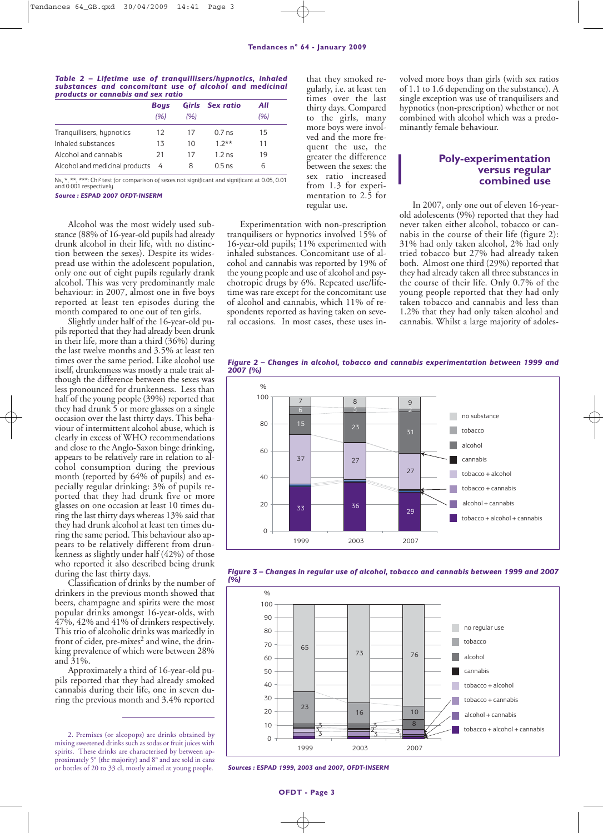#### *Table 2 – Lifetime use of tranquillisers/hypnotics, inhaled substances and concomitant use of alcohol and medicinal products or cannabis and sex ratio*

|                                | <b>Bous</b> |      | <b>Girls</b> Sex ratio | All |  |
|--------------------------------|-------------|------|------------------------|-----|--|
|                                | (96)        | (96) |                        | (%) |  |
| Tranguillisers, hypnotics      | 12          | 17   | 0.7 <sub>ns</sub>      | 15  |  |
| Inhaled substances             | 13          | 10   | $1.2**$                | 11  |  |
| Alcohol and cannabis           | 21          | 17   | 12ns                   | 19  |  |
| Alcohol and medicinal products | - 4         | 8    | $0.5$ ns               | 6   |  |

Ns, \*, \*\*, \*\*\*: Chi² test for comparison of sexes not significant and significant at 0.05, 0.01 and 0.001 respectively.

*Source : ESPAD 2007 OFDT-INSERM*

Alcohol was the most widely used substance (88% of 16-year-old pupils had already drunk alcohol in their life, with no distinction between the sexes). Despite its widespread use within the adolescent population, only one out of eight pupils regularly drank alcohol. This was very predominantly male behaviour: in 2007, almost one in five boys reported at least ten episodes during the month compared to one out of ten girls.

Slightly under half of the 16-year-old pupils reported that they had already been drunk in their life, more than a third (36%) during the last twelve months and 3.5% at least ten times over the same period. Like alcohol use itself, drunkenness was mostly a male trait although the difference between the sexes was less pronounced for drunkenness. Less than half of the young people (39%) reported that they had drunk 5 or more glasses on a single occasion over the last thirty days. This behaviour of intermittent alcohol abuse, which is clearly in excess of WHO recommendations and close to the Anglo-Saxon binge drinking, appears to be relatively rare in relation to alcohol consumption during the previous month (reported by 64% of pupils) and especially regular drinking: 3% of pupils reported that they had drunk five or more glasses on one occasion at least 10 times during the last thirty days whereas 13% said that they had drunk alcohol at least ten times during the same period. This behaviour also appears to be relatively different from drunkenness as slightly under half (42%) of those who reported it also described being drunk during the last thirty days.

Classification of drinks by the number of drinkers in the previous month showed that beers, champagne and spirits were the most popular drinks amongst 16-year-olds, with 47%, 42% and 41% of drinkers respectively. This trio of alcoholic drinks was markedly in front of cider, pre-mixes<sup>2</sup> and wine, the drinking prevalence of which were between 28% and 31%.

Approximately a third of 16-year-old pupils reported that they had already smoked cannabis during their life, one in seven during the previous month and 3.4% reported

2. Premixes (or alcopops) are drinks obtained by mixing sweetened drinks such as sodas or fruit juices with spirits. These drinks are characterised by between approximately 5° (the majority) and 8° and are sold in cans or bottles of 20 to 33 cl, mostly aimed at young people.

that they smoked regularly, i.e. at least ten times over the last thirty days. Compared to the girls, many more boys were involved and the more frequent the use, the greater the difference between the sexes: the sex ratio increased from 1.3 for experimentation to 2.5 for regular use.

Experimentation with non-prescription tranquilisers or hypnotics involved 15% of 16-year-old pupils; 11% experimented with inhaled substances. Concomitant use of alcohol and cannabis was reported by 19% of the young people and use of alcohol and psychotropic drugs by 6%. Repeated use/lifetime was rare except for the concomitant use of alcohol and cannabis, which 11% of respondents reported as having taken on several occasions. In most cases, these uses involved more boys than girls (with sex ratios of 1.1 to 1.6 depending on the substance). A single exception was use of tranquilisers and hypnotics (non-prescription) whether or not combined with alcohol which was a predominantly female behaviour.

## **Poly-experimentation versus regular combined use**

In 2007, only one out of eleven 16-yearold adolescents (9%) reported that they had never taken either alcohol, tobacco or cannabis in the course of their life (figure 2): 31% had only taken alcohol, 2% had only tried tobacco but 27% had already taken both. Almost one third (29%) reported that they had already taken all three substances in the course of their life. Only 0.7% of the young people reported that they had only taken tobacco and cannabis and less than 1.2% that they had only taken alcohol and cannabis. Whilst a large majority of adoles-

*Figure 2 – Changes in alcohol, tobacco and cannabis experimentation between 1999 and 2007 (%)*







*Sources : ESPAD 1999, 2003 and 2007, OFDT-INSERM*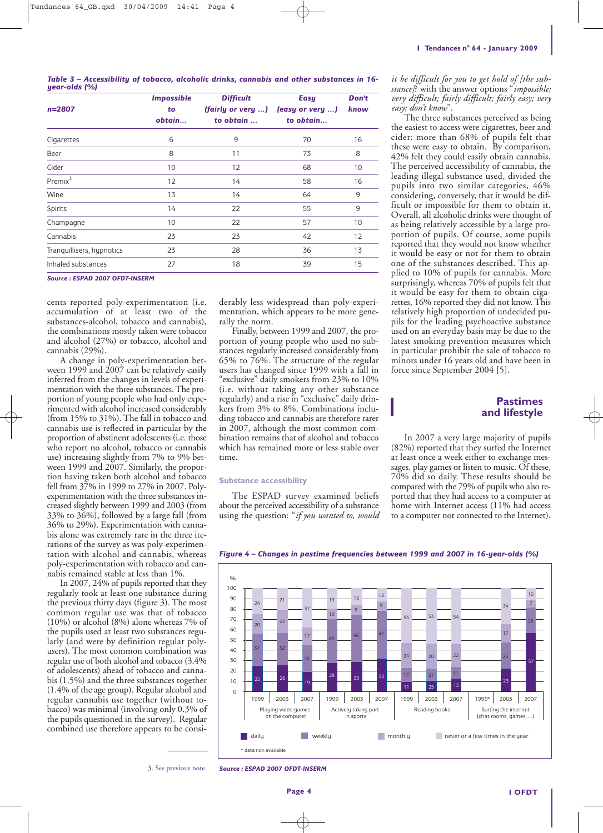|               | Table 3 – Accessibility of tobacco, alcoholic drinks, cannabis and other substances in 16- |  |  |  |  |  |
|---------------|--------------------------------------------------------------------------------------------|--|--|--|--|--|
| year-olds (%) |                                                                                            |  |  |  |  |  |

| $n = 2807$                | <b>Impossible</b><br>to<br>obtain | <b>Difficult</b><br>(fairly or very )<br>to obtain | <b>Easy</b><br>(easy or very )<br>to obtain | Don't<br>know |  |
|---------------------------|-----------------------------------|----------------------------------------------------|---------------------------------------------|---------------|--|
| Cigarettes                | 6                                 | 9                                                  | 70                                          | 16            |  |
| Beer                      | 8                                 | 11                                                 | 73                                          | 8             |  |
| Cider                     | 10                                | 12                                                 | 68                                          | 10            |  |
| Premix <sup>3</sup>       | 12                                | 14                                                 | 58                                          | 16            |  |
| Wine                      | 13                                | 14                                                 | 64                                          | 9             |  |
| Spirits                   | 14                                | 22                                                 | 55                                          | 9             |  |
| Champagne                 | 10                                | 22                                                 | 57                                          | 10            |  |
| Cannabis                  | 23                                | 23                                                 | 42                                          | 12            |  |
| Tranguillisers, hypnotics | 23                                | 28                                                 | 36                                          | 13            |  |
| Inhaled substances        | 27                                | 18                                                 | 39                                          | 15            |  |
|                           |                                   |                                                    |                                             |               |  |

#### *Source : ESPAD 2007 OFDT-INSERM*

cents reported poly-experimentation (i.e. accumulation of at least two of the substances-alcohol, tobacco and cannabis), the combinations mostly taken were tobacco and alcohol (27%) or tobacco, alcohol and cannabis (29%).

A change in poly-experimentation between 1999 and 2007 can be relatively easily inferred from the changes in levels of experimentation with the three substances. The proportion of young people who had only experimented with alcohol increased considerably (from 15% to 31%). The fall in tobacco and cannabis use is reflected in particular by the proportion of abstinent adolescents (i.e. those who report no alcohol, tobacco or cannabis use) increasing slightly from 7% to 9% between 1999 and 2007. Similarly, the proportion having taken both alcohol and tobacco fell from 37% in 1999 to 27% in 2007. Polyexperimentation with the three substances increased slightly between 1999 and 2003 (from 33% to 36%), followed by a large fall (from 36% to 29%). Experimentation with cannabis alone was extremely rare in the three iterations of the survey as was poly-experimentation with alcohol and cannabis, whereas poly-experimentation with tobacco and cannabis remained stable at less than 1%.

In 2007, 24% of pupils reported that they regularly took at least one substance during the previous thirty days (figure 3). The most common regular use was that of tobacco (10%) or alcohol (8%) alone whereas 7% of the pupils used at least two substances regularly (and were by definition regular polyusers). The most common combination was regular use of both alcohol and tobacco (3.4% of adolescents) ahead of tobacco and cannabis (1.5%) and the three substances together (1.4% of the age group). Regular alcohol and regular cannabis use together (without tobacco) was minimal (involving only 0.3% of the pupils questioned in the survey). Regular combined use therefore appears to be considerably less widespread than poly-experimentation, which appears to be more generally the norm.

Finally, between 1999 and 2007, the proportion of young people who used no substances regularly increased considerably from 65% to 76%. The structure of the regular users has changed since 1999 with a fall in "exclusive" daily smokers from 23% to 10% (i.e. without taking any other substance regularly) and a rise in "exclusive" daily drinkers from 3% to 8%. Combinations including tobacco and cannabis are therefore rarer in 2007, although the most common combination remains that of alcohol and tobacco which has remained more or less stable over time.

#### **Substance accessibility**

The ESPAD survey examined beliefs about the perceived accessibility of a substance using the question: "*if you wanted to, would*

*it be difficult for you to get hold of [the substance]*? with the answer options "*impossible; very difficult; fairly difficult; fairly easy; very easy; don't know*".

The three substances perceived as being the easiest to access were cigarettes, beer and cider: more than 68% of pupils felt that these were easy to obtain. By comparison, 42% felt they could easily obtain cannabis. The perceived accessibility of cannabis, the leading illegal substance used, divided the pupils into two similar categories, 46% considering, conversely, that it would be difficult or impossible for them to obtain it. Overall, all alcoholic drinks were thought of as being relatively accessible by a large proportion of pupils. Of course, some pupils reported that they would not know whether it would be easy or not for them to obtain one of the substances described. This applied to 10% of pupils for cannabis. More surprisingly, whereas 70% of pupils felt that it would be easy for them to obtain cigarettes, 16% reported they did not know. This relatively high proportion of undecided pupils for the leading psychoactive substance used on an everyday basis may be due to the latest smoking prevention measures which in particular prohibit the sale of tobacco to minors under 16 years old and have been in force since September 2004 [5].

## **Pastimes and lifestyle**

In 2007 a very large majority of pupils (82%) reported that they surfed the Internet at least once a week either to exchange messages, play games or listen to music. Of these, 70% did so daily. These results should be compared with the 79% of pupils who also reported that they had access to a computer at home with Internet access (11% had access to a computer not connected to the Internet).



*Figure 4 – Changes in pastime frequencies between 1999 and 2007 in 16-year-olds (%)*

3. See previous note. *Source : ESPAD 2007 OFDT-INSERM*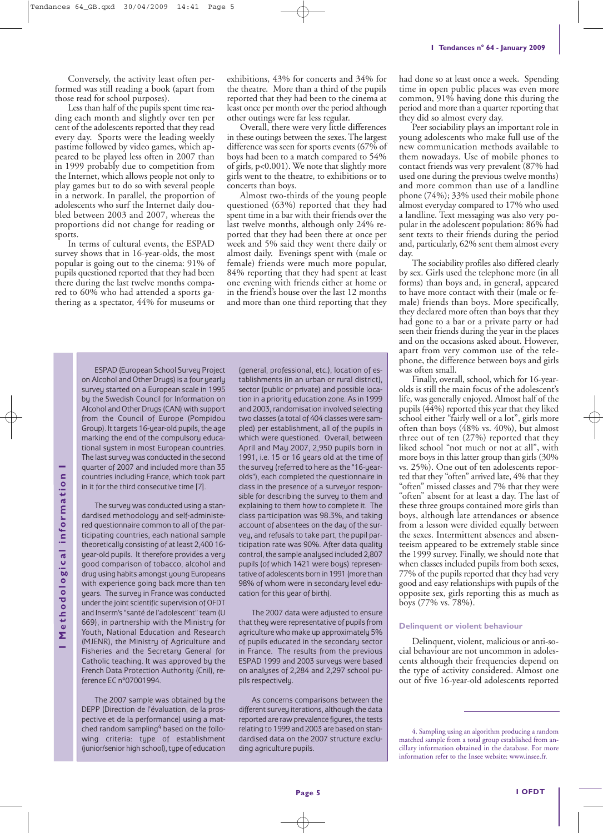Conversely, the activity least often performed was still reading a book (apart from those read for school purposes).

Less than half of the pupils spent time reading each month and slightly over ten per cent of the adolescents reported that they read every day. Sports were the leading weekly pastime followed by video games, which appeared to be played less often in 2007 than in 1999 probably due to competition from the Internet, which allows people not only to play games but to do so with several people in a network. In parallel, the proportion of adolescents who surf the Internet daily doubled between 2003 and 2007, whereas the proportions did not change for reading or sports.

In terms of cultural events, the ESPAD survey shows that in 16-year-olds, the most popular is going out to the cinema: 91% of pupils questioned reported that they had been there during the last twelve months compared to 60% who had attended a sports gathering as a spectator, 44% for museums or

exhibitions, 43% for concerts and 34% for the theatre. More than a third of the pupils reported that they had been to the cinema at least once per month over the period although other outings were far less regular.

Overall, there were very little differences in these outings between the sexes. The largest difference was seen for sports events (67% of boys had been to a match compared to 54% of girls, p<0.001). We note that slightly more girls went to the theatre, to exhibitions or to concerts than boys.

Almost two-thirds of the young people questioned (63%) reported that they had spent time in a bar with their friends over the last twelve months, although only 24% reported that they had been there at once per week and 5% said they went there daily or almost daily. Evenings spent with (male or female) friends were much more popular, 84% reporting that they had spent at least one evening with friends either at home or in the friend's house over the last 12 months and more than one third reporting that they

ESPAD (European School Survey Project on Alcohol and Other Drugs) is a four yearly survey started on a European scale in 1995 by the Swedish Council for Information on Alcohol and Other Drugs (CAN) with support from the Council of Europe (Pompidou Group). It targets 16-year-old pupils, the age marking the end of the compulsory educational system in most European countries. The last survey was conducted in the second quarter of 2007 and included more than 35 countries including France, which took part in it for the third consecutive time [7].

The survey was conducted using a standardised methodology and self-administered questionnaire common to all of the participating countries, each national sample theoretically consisting of at least 2,400 16 year-old pupils. It therefore provides a very good comparison of tobacco, alcohol and drug using habits amongst young Europeans with experience going back more than ten years. The survey in France was conducted under the joint scientific supervision of OFDT and Inserm's "santé de l'adolescent" team (U 669), in partnership with the Ministry for Youth, National Education and Research (MJENR), the Ministry of Agriculture and Fisheries and the Secretary General for Catholic teaching. It was approved by the French Data Protection Authority (Cnil), reference EC n°07001994.

The 2007 sample was obtained by the DEPP (Direction de l'évaluation, de la prospective et de la performance) using a matched random sampling<sup>4</sup> based on the following criteria: type of establishment (junior/senior high school), type of education

(general, professional, etc.), location of establishments (in an urban or rural district), sector (public or private) and possible location in a priority education zone. As in 1999 and 2003, randomisation involved selecting two classes (a total of 404 classes were sampled) per establishment, all of the pupils in which were questioned. Overall, between April and May 2007, 2,950 pupils born in 1991, i.e. 15 or 16 years old at the time of the survey (referred to here as the "16-yearolds"), each completed the questionnaire in class in the presence of a surveyor responsible for describing the survey to them and explaining to them how to complete it. The class participation was 98.3%, and taking account of absentees on the day of the survey, and refusals to take part, the pupil participation rate was 90%. After data quality control, the sample analysed included 2,807 pupils (of which 1421 were boys) representative of adolescents born in 1991 (more than 98% of whom were in secondary level education for this year of birth).

The 2007 data were adjusted to ensure that they were representative of pupils from agriculture who make up approximately 5% of pupils educated in the secondary sector in France. The results from the previous ESPAD 1999 and 2003 surveys were based on analyses of 2,284 and 2,297 school pupils respectively.

As concerns comparisons between the different survey iterations, although the data reported are raw prevalence figures, the tests relating to 1999 and 2003 are based on standardised data on the 2007 structure excluding agriculture pupils.

had done so at least once a week. Spending time in open public places was even more common, 91% having done this during the period and more than a quarter reporting that they did so almost every day.

Peer sociability plays an important role in young adolescents who make full use of the new communication methods available to them nowadays. Use of mobile phones to contact friends was very prevalent (87% had used one during the previous twelve months) and more common than use of a landline phone (74%); 33% used their mobile phone almost everyday compared to 17% who used a landline. Text messaging was also very popular in the adolescent population: 86% had sent texts to their friends during the period and, particularly, 62% sent them almost every day.

The sociability profiles also differed clearly by sex. Girls used the telephone more (in all forms) than boys and, in general, appeared to have more contact with their (male or female) friends than boys. More specifically, they declared more often than boys that they had gone to a bar or a private party or had seen their friends during the year in the places and on the occasions asked about. However, apart from very common use of the telephone, the difference between boys and girls was often small.

Finally, overall, school, which for 16-yearolds is still the main focus of the adolescent's life, was generally enjoyed. Almost half of the pupils (44%) reported this year that they liked school either "fairly well or a lot", girls more often than boys (48% vs. 40%), but almost three out of ten (27%) reported that they liked school "not much or not at all", with more boys in this latter group than girls (30% vs. 25%). One out of ten adolescents reported that they "often" arrived late, 4% that they "often" missed classes and 7% that they were "often" absent for at least a day. The last of these three groups contained more girls than boys, although late attendances or absence from a lesson were divided equally between the sexes. Intermittent absences and absenteeism appeared to be extremely stable since the 1999 survey. Finally, we should note that when classes included pupils from both sexes, 77% of the pupils reported that they had very good and easy relationships with pupils of the opposite sex, girls reporting this as much as boys (77% vs. 78%).

#### **Delinquent or violent behaviour**

Delinquent, violent, malicious or anti-social behaviour are not uncommon in adolescents although their frequencies depend on the type of activity considered. Almost one out of five 16-year-old adolescents reported

<sup>4.</sup> Sampling using an algorithm producing a random matched sample from a total group established from ancillary information obtained in the database. For more information refer to the Insee website: www.insee.fr.